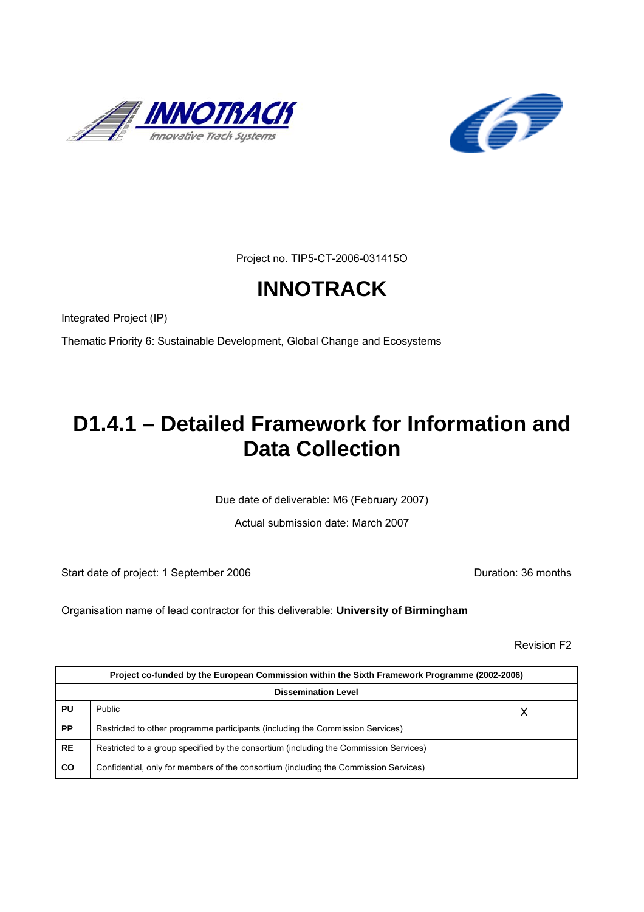



Project no. TIP5-CT-2006-031415O

# **INNOTRACK**

Integrated Project (IP)

Thematic Priority 6: Sustainable Development, Global Change and Ecosystems

# **D1.4.1 – Detailed Framework for Information and Data Collection**

Due date of deliverable: M6 (February 2007)

Actual submission date: March 2007

Start date of project: 1 September 2006 **Duration: 36 months** 

Organisation name of lead contractor for this deliverable: **University of Birmingham**

Revision F2

| Project co-funded by the European Commission within the Sixth Framework Programme (2002-2006) |                                                                                       |  |
|-----------------------------------------------------------------------------------------------|---------------------------------------------------------------------------------------|--|
| <b>Dissemination Level</b>                                                                    |                                                                                       |  |
| PU                                                                                            | <b>Public</b>                                                                         |  |
| <b>PP</b>                                                                                     | Restricted to other programme participants (including the Commission Services)        |  |
| <b>RE</b>                                                                                     | Restricted to a group specified by the consortium (including the Commission Services) |  |
| CO                                                                                            | Confidential, only for members of the consortium (including the Commission Services)  |  |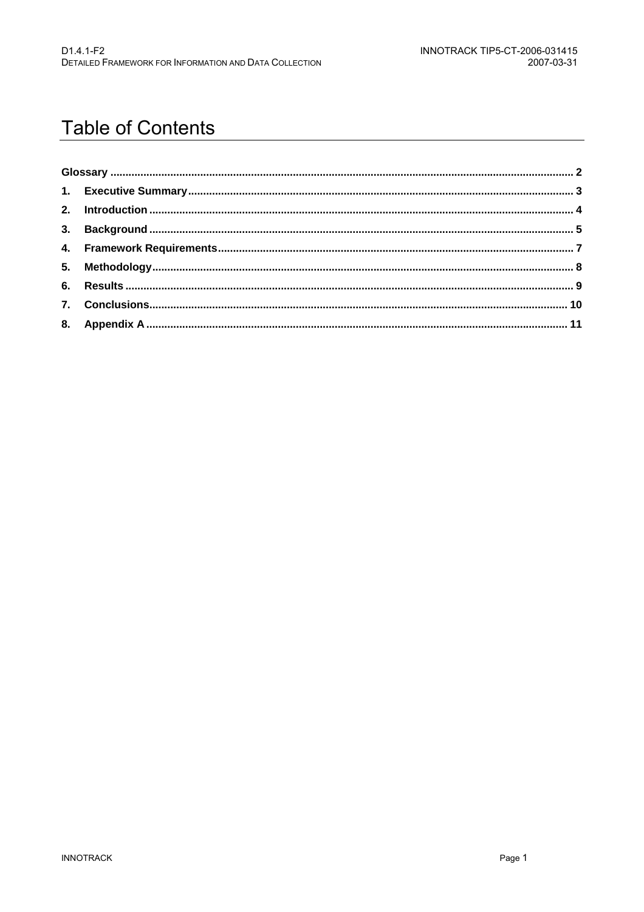# **Table of Contents**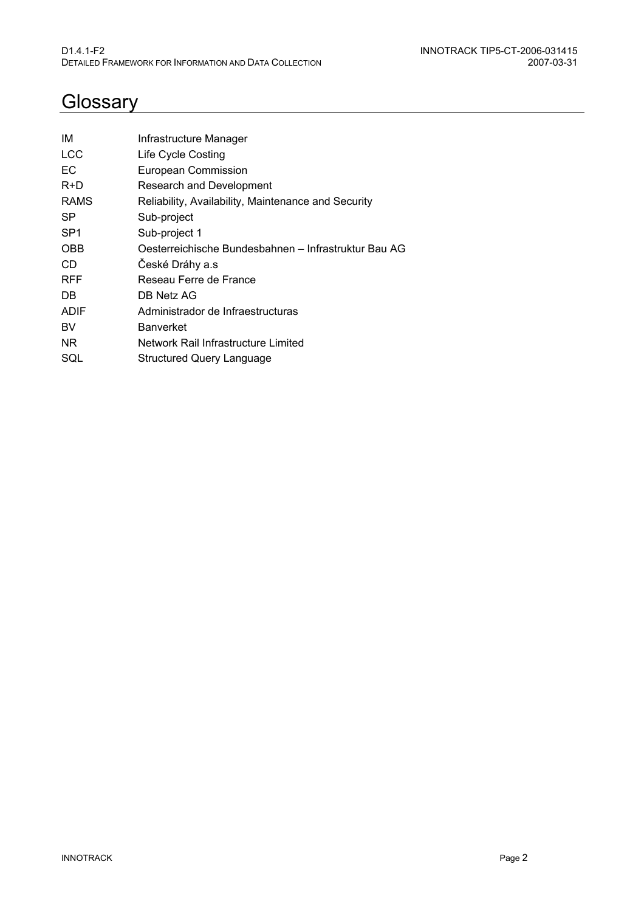# <span id="page-2-0"></span>**Glossary**

| IМ              | Infrastructure Manager                               |
|-----------------|------------------------------------------------------|
| <b>LCC</b>      | Life Cycle Costing                                   |
| EC              | European Commission                                  |
| $R+D$           | <b>Research and Development</b>                      |
| <b>RAMS</b>     | Reliability, Availability, Maintenance and Security  |
| SP              | Sub-project                                          |
| SP <sub>1</sub> | Sub-project 1                                        |
| <b>OBB</b>      | Oesterreichische Bundesbahnen – Infrastruktur Bau AG |
| CD              | České Dráhy a.s                                      |
| <b>RFF</b>      | Reseau Ferre de France                               |
| DB.             | DB Netz AG                                           |
| <b>ADIF</b>     | Administrador de Infraestructuras                    |
| BV              | <b>Banverket</b>                                     |
| NR.             | Network Rail Infrastructure Limited                  |
| SQL             | Structured Query Language                            |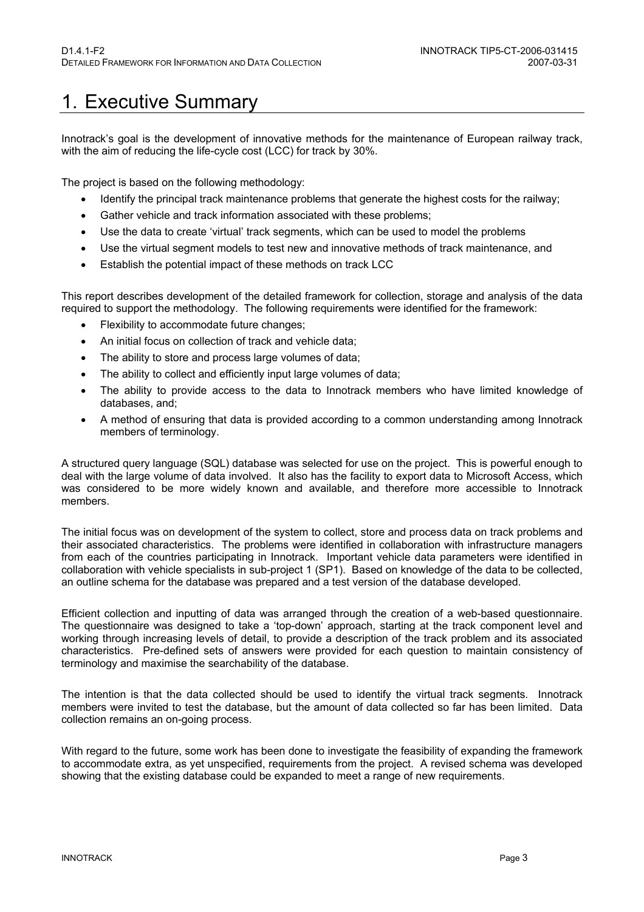### <span id="page-3-0"></span>1. Executive Summary

Innotrack's goal is the development of innovative methods for the maintenance of European railway track, with the aim of reducing the life-cycle cost (LCC) for track by 30%.

The project is based on the following methodology:

- Identify the principal track maintenance problems that generate the highest costs for the railway;
- Gather vehicle and track information associated with these problems;
- Use the data to create 'virtual' track segments, which can be used to model the problems
- Use the virtual segment models to test new and innovative methods of track maintenance, and
- Establish the potential impact of these methods on track LCC

This report describes development of the detailed framework for collection, storage and analysis of the data required to support the methodology. The following requirements were identified for the framework:

- Flexibility to accommodate future changes;
- An initial focus on collection of track and vehicle data;
- The ability to store and process large volumes of data:
- The ability to collect and efficiently input large volumes of data;
- The ability to provide access to the data to Innotrack members who have limited knowledge of databases, and;
- A method of ensuring that data is provided according to a common understanding among Innotrack members of terminology.

A structured query language (SQL) database was selected for use on the project. This is powerful enough to deal with the large volume of data involved. It also has the facility to export data to Microsoft Access, which was considered to be more widely known and available, and therefore more accessible to Innotrack members.

The initial focus was on development of the system to collect, store and process data on track problems and their associated characteristics. The problems were identified in collaboration with infrastructure managers from each of the countries participating in Innotrack. Important vehicle data parameters were identified in collaboration with vehicle specialists in sub-project 1 (SP1). Based on knowledge of the data to be collected, an outline schema for the database was prepared and a test version of the database developed.

Efficient collection and inputting of data was arranged through the creation of a web-based questionnaire. The questionnaire was designed to take a 'top-down' approach, starting at the track component level and working through increasing levels of detail, to provide a description of the track problem and its associated characteristics. Pre-defined sets of answers were provided for each question to maintain consistency of terminology and maximise the searchability of the database.

The intention is that the data collected should be used to identify the virtual track segments. Innotrack members were invited to test the database, but the amount of data collected so far has been limited. Data collection remains an on-going process.

With regard to the future, some work has been done to investigate the feasibility of expanding the framework to accommodate extra, as yet unspecified, requirements from the project. A revised schema was developed showing that the existing database could be expanded to meet a range of new requirements.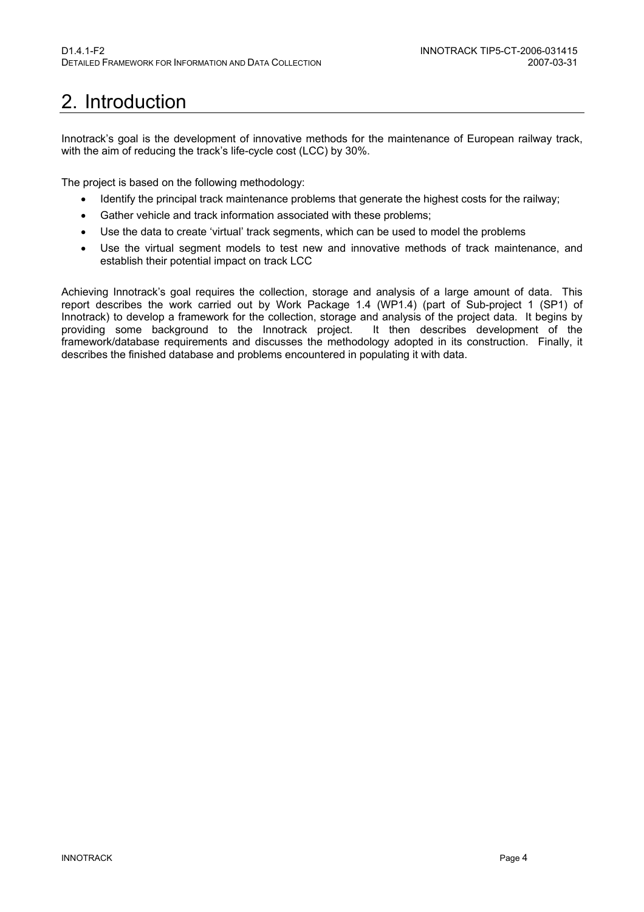# <span id="page-4-0"></span>2. Introduction

Innotrack's goal is the development of innovative methods for the maintenance of European railway track, with the aim of reducing the track's life-cycle cost (LCC) by 30%.

The project is based on the following methodology:

- Identify the principal track maintenance problems that generate the highest costs for the railway;
- Gather vehicle and track information associated with these problems;
- Use the data to create 'virtual' track segments, which can be used to model the problems
- Use the virtual segment models to test new and innovative methods of track maintenance, and establish their potential impact on track LCC

Achieving Innotrack's goal requires the collection, storage and analysis of a large amount of data. This report describes the work carried out by Work Package 1.4 (WP1.4) (part of Sub-project 1 (SP1) of Innotrack) to develop a framework for the collection, storage and analysis of the project data. It begins by providing some background to the Innotrack project. It then describes development of the providing some background to the Innotrack project. framework/database requirements and discusses the methodology adopted in its construction. Finally, it describes the finished database and problems encountered in populating it with data.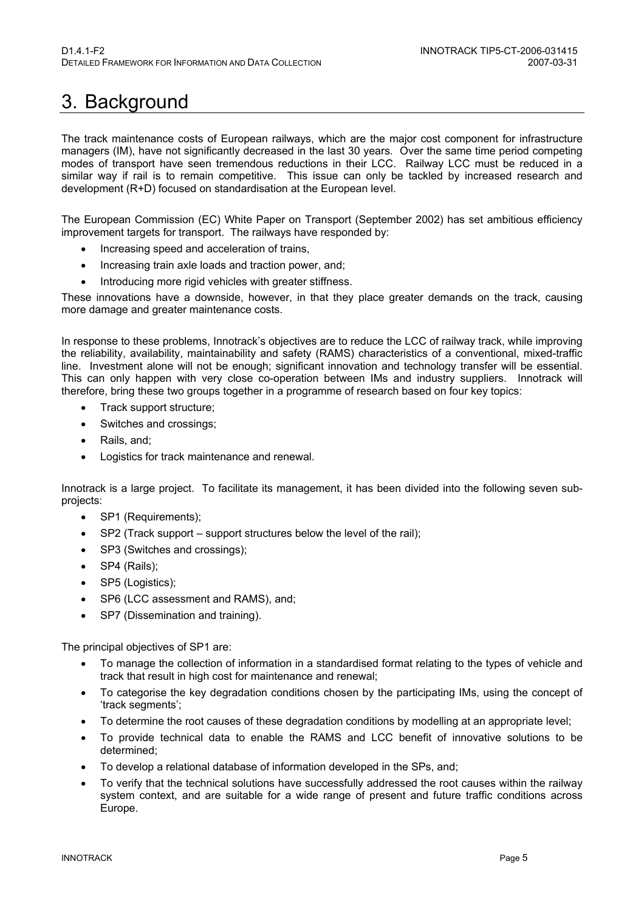## <span id="page-5-0"></span>3. Background

The track maintenance costs of European railways, which are the major cost component for infrastructure managers (IM), have not significantly decreased in the last 30 years. Over the same time period competing modes of transport have seen tremendous reductions in their LCC. Railway LCC must be reduced in a similar way if rail is to remain competitive. This issue can only be tackled by increased research and development (R+D) focused on standardisation at the European level.

The European Commission (EC) White Paper on Transport (September 2002) has set ambitious efficiency improvement targets for transport. The railways have responded by:

- Increasing speed and acceleration of trains,
- Increasing train axle loads and traction power, and;
- Introducing more rigid vehicles with greater stiffness.

These innovations have a downside, however, in that they place greater demands on the track, causing more damage and greater maintenance costs.

In response to these problems, Innotrack's objectives are to reduce the LCC of railway track, while improving the reliability, availability, maintainability and safety (RAMS) characteristics of a conventional, mixed-traffic line. Investment alone will not be enough; significant innovation and technology transfer will be essential. This can only happen with very close co-operation between IMs and industry suppliers. Innotrack will therefore, bring these two groups together in a programme of research based on four key topics:

- Track support structure;
- Switches and crossings;
- Rails, and;
- Logistics for track maintenance and renewal.

Innotrack is a large project. To facilitate its management, it has been divided into the following seven subprojects:

- SP1 (Requirements):
- SP2 (Track support support structures below the level of the rail);
- SP3 (Switches and crossings);
- SP4 (Rails);
- SP5 (Logistics);
- SP6 (LCC assessment and RAMS), and;
- SP7 (Dissemination and training).

The principal objectives of SP1 are:

- To manage the collection of information in a standardised format relating to the types of vehicle and track that result in high cost for maintenance and renewal;
- To categorise the key degradation conditions chosen by the participating IMs, using the concept of 'track segments';
- To determine the root causes of these degradation conditions by modelling at an appropriate level;
- To provide technical data to enable the RAMS and LCC benefit of innovative solutions to be determined;
- To develop a relational database of information developed in the SPs, and;
- To verify that the technical solutions have successfully addressed the root causes within the railway system context, and are suitable for a wide range of present and future traffic conditions across Europe.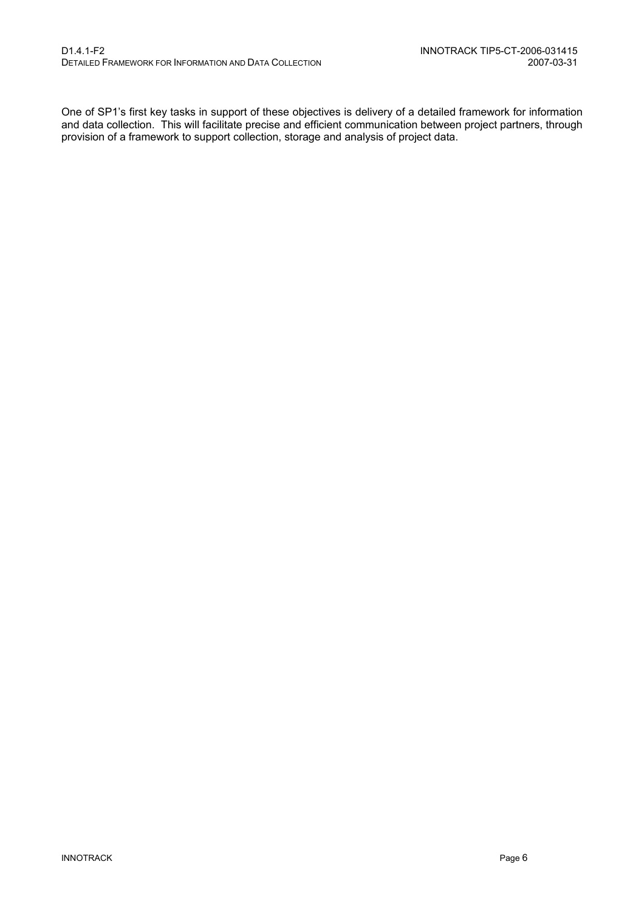One of SP1's first key tasks in support of these objectives is delivery of a detailed framework for information and data collection. This will facilitate precise and efficient communication between project partners, through provision of a framework to support collection, storage and analysis of project data.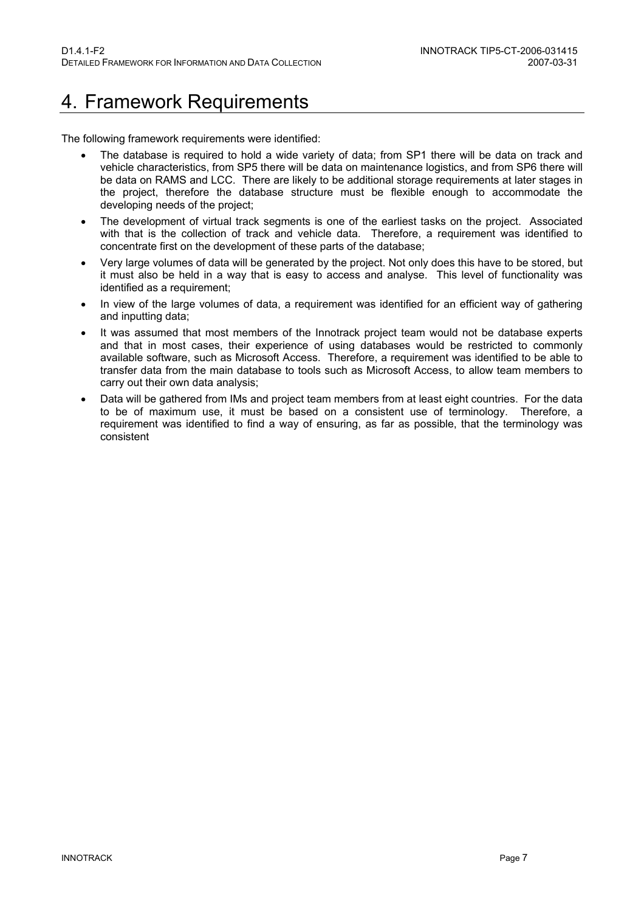### <span id="page-7-0"></span>4. Framework Requirements

The following framework requirements were identified:

- The database is required to hold a wide variety of data; from SP1 there will be data on track and vehicle characteristics, from SP5 there will be data on maintenance logistics, and from SP6 there will be data on RAMS and LCC. There are likely to be additional storage requirements at later stages in the project, therefore the database structure must be flexible enough to accommodate the developing needs of the project;
- The development of virtual track segments is one of the earliest tasks on the project. Associated with that is the collection of track and vehicle data. Therefore, a requirement was identified to concentrate first on the development of these parts of the database;
- Very large volumes of data will be generated by the project. Not only does this have to be stored, but it must also be held in a way that is easy to access and analyse. This level of functionality was identified as a requirement;
- In view of the large volumes of data, a requirement was identified for an efficient way of gathering and inputting data;
- It was assumed that most members of the Innotrack project team would not be database experts and that in most cases, their experience of using databases would be restricted to commonly available software, such as Microsoft Access. Therefore, a requirement was identified to be able to transfer data from the main database to tools such as Microsoft Access, to allow team members to carry out their own data analysis;
- Data will be gathered from IMs and project team members from at least eight countries. For the data to be of maximum use, it must be based on a consistent use of terminology. Therefore, a requirement was identified to find a way of ensuring, as far as possible, that the terminology was consistent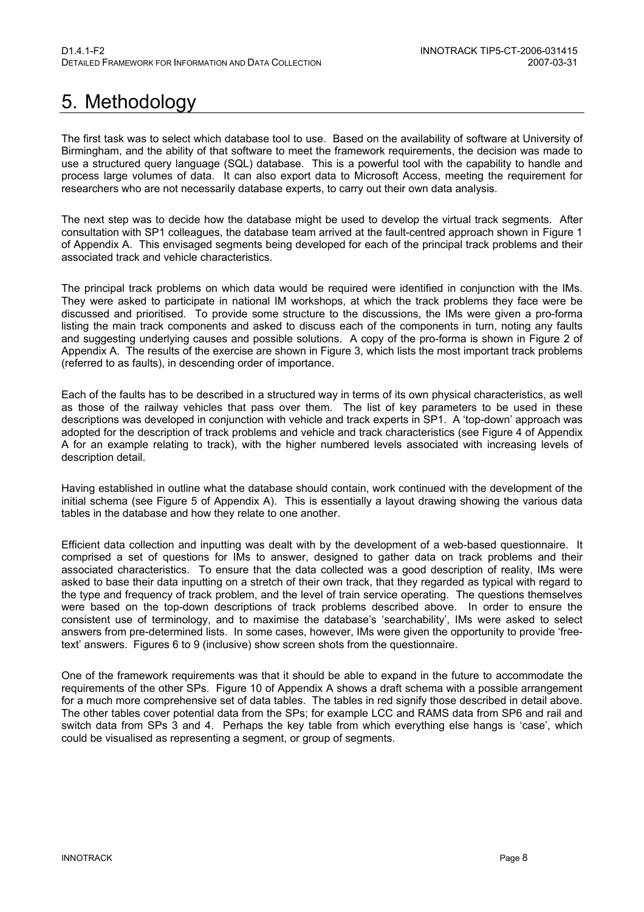# <span id="page-8-0"></span>5. Methodology

The first task was to select which database tool to use. Based on the availability of software at University of Birmingham, and the ability of that software to meet the framework requirements, the decision was made to use a structured query language (SQL) database. This is a powerful tool with the capability to handle and process large volumes of data. It can also export data to Microsoft Access, meeting the requirement for researchers who are not necessarily database experts, to carry out their own data analysis.

The next step was to decide how the database might be used to develop the virtual track segments. After consultation with SP1 colleagues, the database team arrived at the fault-centred approach shown in Figure 1 of Appendix A. This envisaged segments being developed for each of the principal track problems and their associated track and vehicle characteristics.

The principal track problems on which data would be required were identified in conjunction with the IMs. They were asked to participate in national IM workshops, at which the track problems they face were be discussed and prioritised. To provide some structure to the discussions, the IMs were given a pro-forma listing the main track components and asked to discuss each of the components in turn, noting any faults and suggesting underlying causes and possible solutions. A copy of the pro-forma is shown in Figure 2 of Appendix A. The results of the exercise are shown in Figure 3, which lists the most important track problems (referred to as faults), in descending order of importance.

Each of the faults has to be described in a structured way in terms of its own physical characteristics, as well as those of the railway vehicles that pass over them. The list of key parameters to be used in these descriptions was developed in conjunction with vehicle and track experts in SP1. A 'top-down' approach was adopted for the description of track problems and vehicle and track characteristics (see Figure 4 of Appendix A for an example relating to track), with the higher numbered levels associated with increasing levels of description detail.

Having established in outline what the database should contain, work continued with the development of the initial schema (see Figure 5 of Appendix A). This is essentially a layout drawing showing the various data tables in the database and how they relate to one another.

Efficient data collection and inputting was dealt with by the development of a web-based questionnaire. It comprised a set of questions for IMs to answer, designed to gather data on track problems and their associated characteristics. To ensure that the data collected was a good description of reality, IMs were asked to base their data inputting on a stretch of their own track, that they regarded as typical with regard to the type and frequency of track problem, and the level of train service operating. The questions themselves were based on the top-down descriptions of track problems described above. In order to ensure the consistent use of terminology, and to maximise the database's 'searchability', IMs were asked to select answers from pre-determined lists. In some cases, however, IMs were given the opportunity to provide 'freetext' answers. Figures 6 to 9 (inclusive) show screen shots from the questionnaire.

One of the framework requirements was that it should be able to expand in the future to accommodate the requirements of the other SPs. Figure 10 of Appendix A shows a draft schema with a possible arrangement for a much more comprehensive set of data tables. The tables in red signify those described in detail above. The other tables cover potential data from the SPs; for example LCC and RAMS data from SP6 and rail and switch data from SPs 3 and 4. Perhaps the key table from which everything else hangs is 'case', which could be visualised as representing a segment, or group of segments.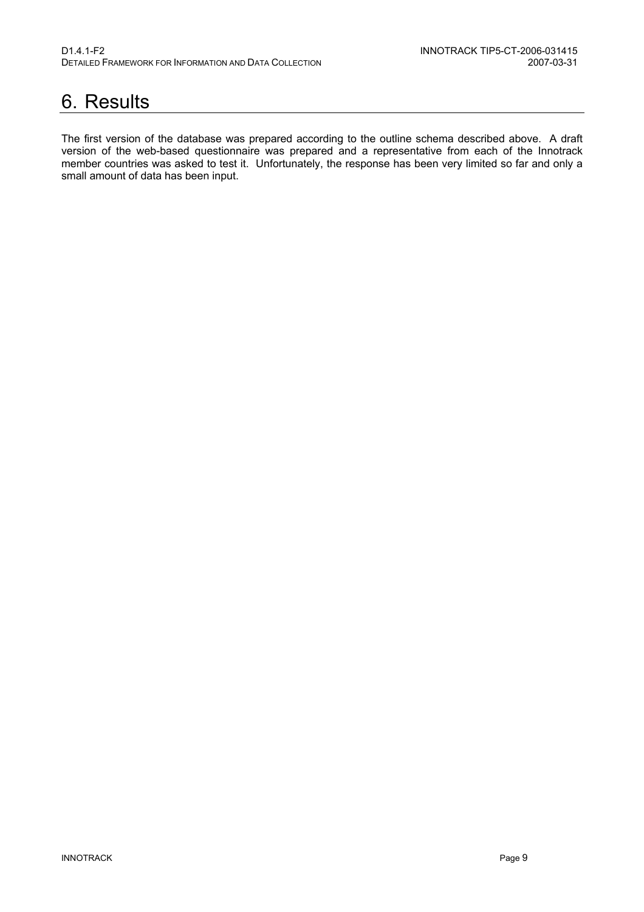### <span id="page-9-0"></span>6. Results

The first version of the database was prepared according to the outline schema described above. A draft version of the web-based questionnaire was prepared and a representative from each of the Innotrack member countries was asked to test it. Unfortunately, the response has been very limited so far and only a small amount of data has been input.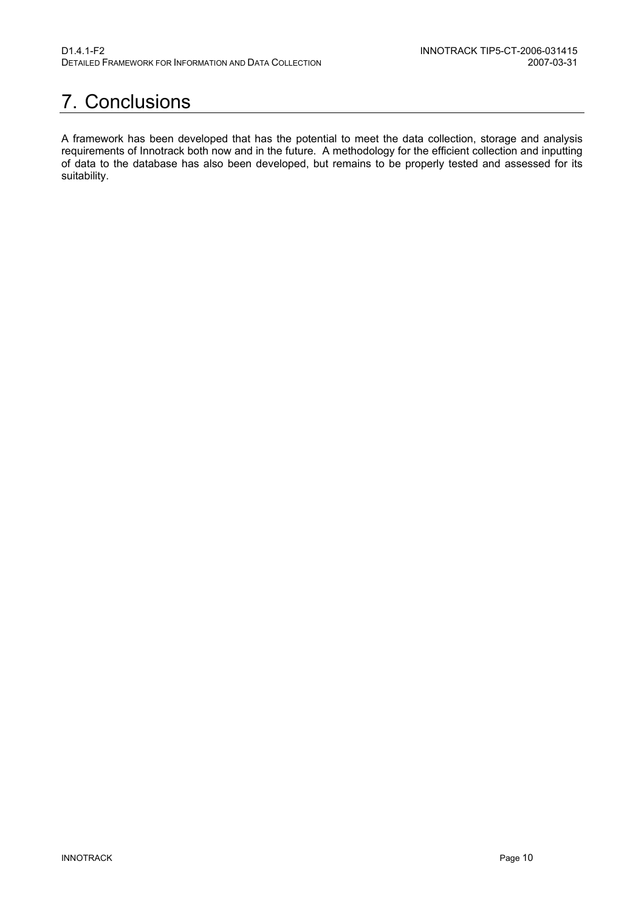## <span id="page-10-0"></span>7. Conclusions

A framework has been developed that has the potential to meet the data collection, storage and analysis requirements of Innotrack both now and in the future. A methodology for the efficient collection and inputting of data to the database has also been developed, but remains to be properly tested and assessed for its suitability.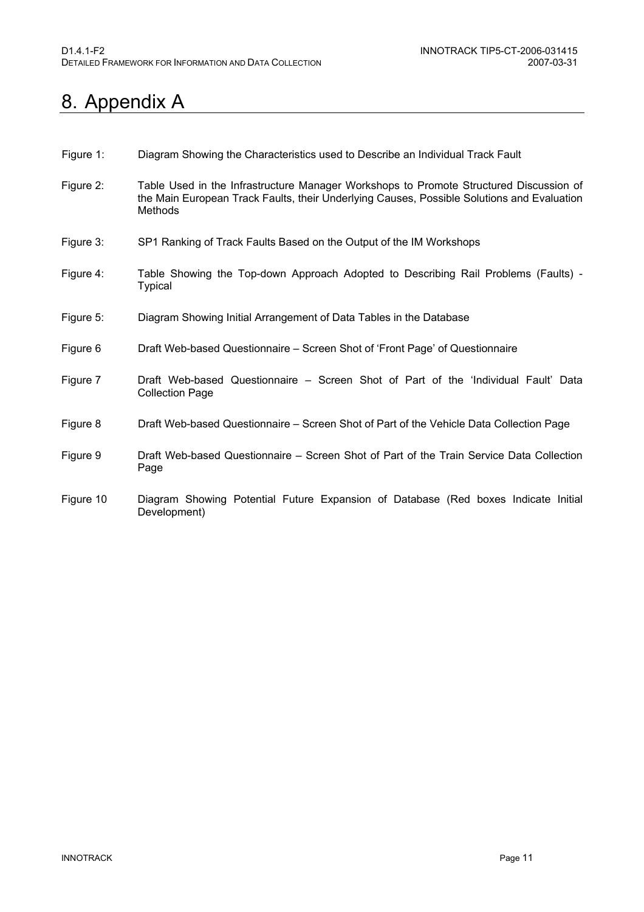### <span id="page-11-0"></span>8. Appendix A

- Figure 1: Diagram Showing the Characteristics used to Describe an Individual Track Fault
- Figure 2: Table Used in the Infrastructure Manager Workshops to Promote Structured Discussion of the Main European Track Faults, their Underlying Causes, Possible Solutions and Evaluation Methods
- Figure 3: SP1 Ranking of Track Faults Based on the Output of the IM Workshops
- Figure 4: Table Showing the Top-down Approach Adopted to Describing Rail Problems (Faults) **Typical**
- Figure 5: Diagram Showing Initial Arrangement of Data Tables in the Database
- Figure 6 Draft Web-based Questionnaire Screen Shot of 'Front Page' of Questionnaire
- Figure 7 Draft Web-based Questionnaire Screen Shot of Part of the 'Individual Fault' Data Collection Page
- Figure 8 Draft Web-based Questionnaire Screen Shot of Part of the Vehicle Data Collection Page
- Figure 9 Draft Web-based Questionnaire Screen Shot of Part of the Train Service Data Collection Page
- Figure 10 Diagram Showing Potential Future Expansion of Database (Red boxes Indicate Initial Development)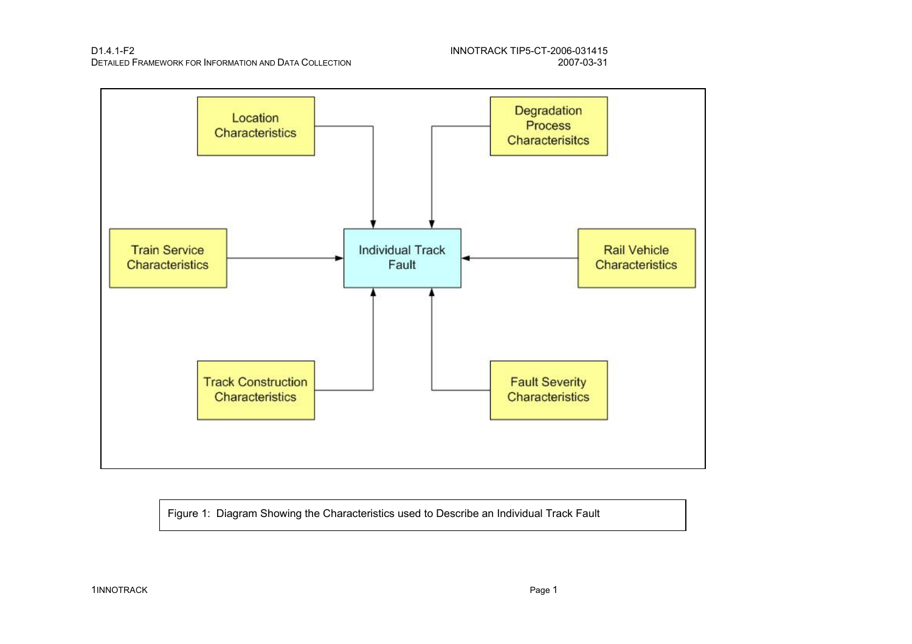D1.4.1-F2 INNOTRACK TIP5-CT-2006-031415 DETAILED FRAMEWORK FOR INFORMATION AND DATA COLLECTION



Figure 1: Diagram Showing the Characteristics used to Describe an Individual Track Fault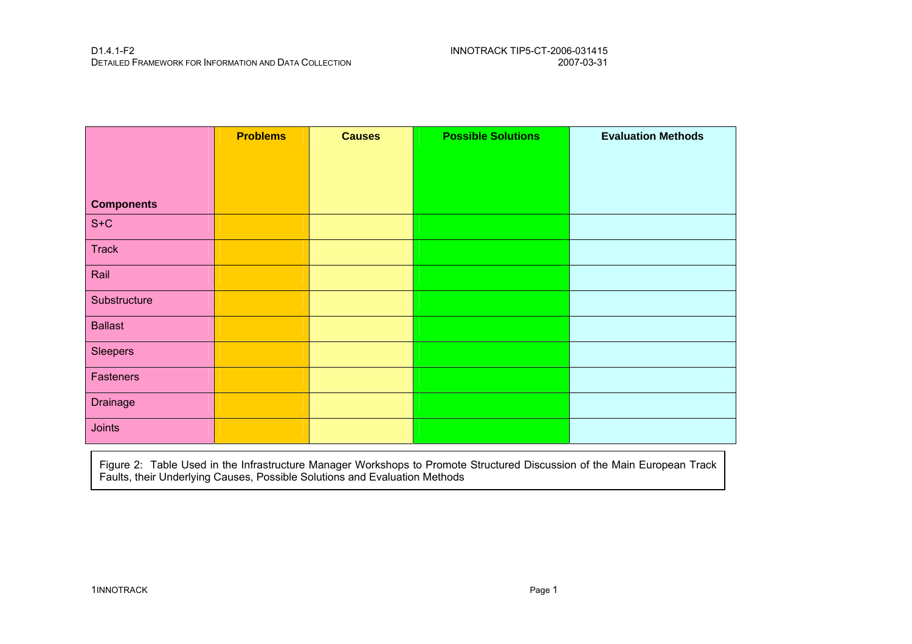|                   | <b>Problems</b> | <b>Causes</b> | <b>Possible Solutions</b> | <b>Evaluation Methods</b> |
|-------------------|-----------------|---------------|---------------------------|---------------------------|
|                   |                 |               |                           |                           |
| <b>Components</b> |                 |               |                           |                           |
| $S+C$             |                 |               |                           |                           |
|                   |                 |               |                           |                           |
| Track             |                 |               |                           |                           |
| Rail              |                 |               |                           |                           |
| Substructure      |                 |               |                           |                           |
| <b>Ballast</b>    |                 |               |                           |                           |
| Sleepers          |                 |               |                           |                           |
| Fasteners         |                 |               |                           |                           |
| Drainage          |                 |               |                           |                           |
| Joints            |                 |               |                           |                           |

Figure 2: Table Used in the Infrastructure Manager Workshops to Promote Structured Discussion of the Main European Track Faults, their Underlying Causes, Possible Solutions and Evaluation Methods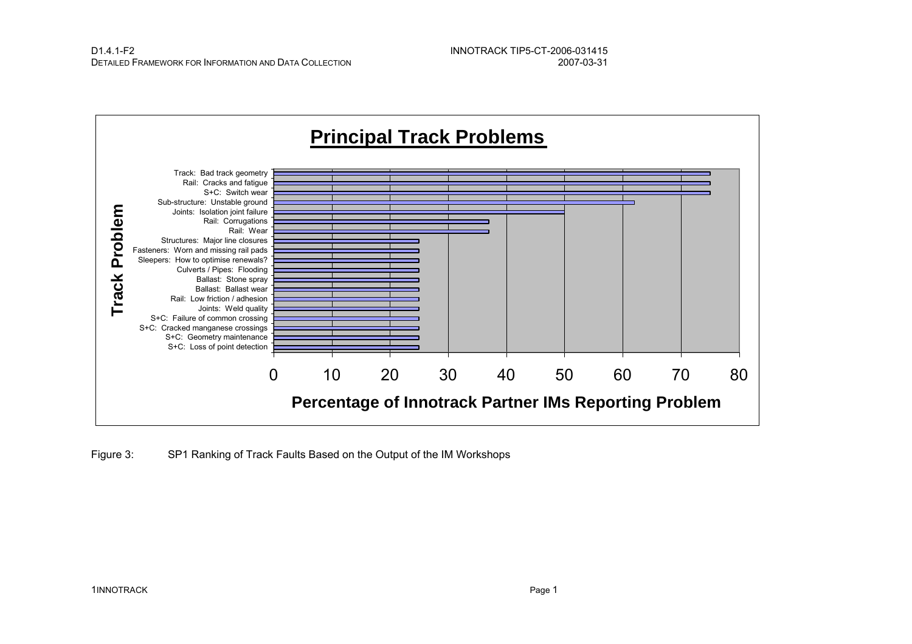

Figure 3: SP1 Ranking of Track Faults Based on the Output of the IM Workshops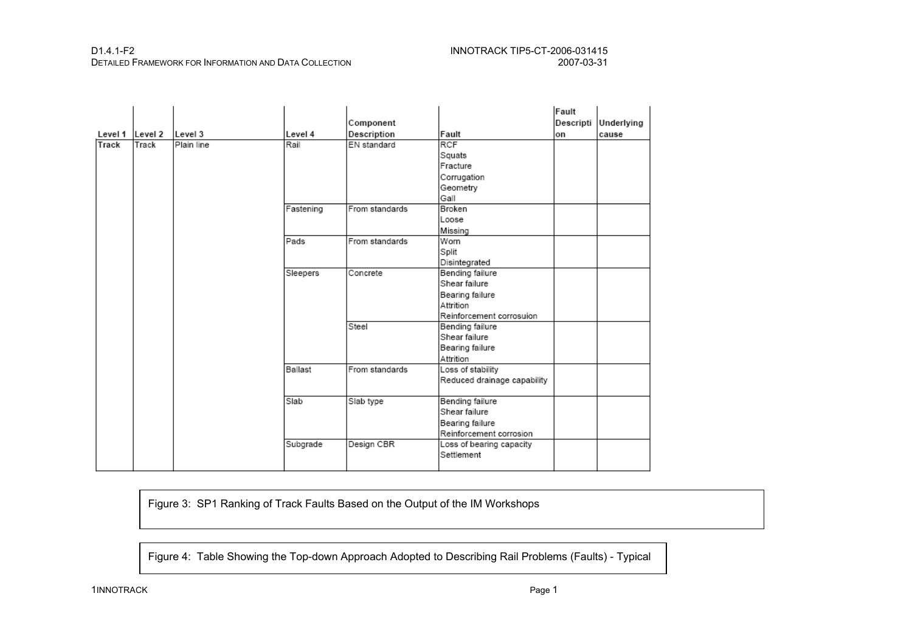#### D1.4.1-F2 INNOTRACK TIP5-CT-2006-031415 DETAILED FRAMEWORK FOR INFORMATION AND DATA COLLECTION

|                 |       |            |           |                |                             | Fault     |            |
|-----------------|-------|------------|-----------|----------------|-----------------------------|-----------|------------|
|                 |       |            |           | Component      |                             | Descripti | Underlying |
| Level 1 Level 2 |       | Level 3    | Level 4   | Description    | Fault                       | lon       | cause      |
| Track           | Track | Plain line | Rail      | EN standard    | <b>RCF</b>                  |           |            |
|                 |       |            |           |                | Squats                      |           |            |
|                 |       |            |           |                | Fracture                    |           |            |
|                 |       |            |           |                | Corrugation                 |           |            |
|                 |       |            |           |                | Geometry                    |           |            |
|                 |       |            |           |                | Gall                        |           |            |
|                 |       |            | Fastening | From standards | Broken                      |           |            |
|                 |       |            |           |                | Loose                       |           |            |
|                 |       |            |           |                | Missing                     |           |            |
|                 |       |            | Pads      | From standards | Worn                        |           |            |
|                 |       |            |           |                | Split                       |           |            |
|                 |       |            |           |                | Disintegrated               |           |            |
|                 |       |            | Sleepers  | Concrete       | Bending failure             |           |            |
|                 |       |            |           |                | Shear failure               |           |            |
|                 |       |            |           |                | Bearing failure             |           |            |
|                 |       |            |           |                | Attrition                   |           |            |
|                 |       |            |           |                | Reinforcement corrosuion    |           |            |
|                 |       |            |           | Steel          | Bending failure             |           |            |
|                 |       |            |           |                | Shear failure               |           |            |
|                 |       |            |           |                | Bearing failure             |           |            |
|                 |       |            |           |                | Attrition                   |           |            |
|                 |       |            | Ballast   | From standards | Loss of stability           |           |            |
|                 |       |            |           |                | Reduced drainage capability |           |            |
|                 |       |            |           |                |                             |           |            |
|                 |       |            | Slab      | Slab type      | Bending failure             |           |            |
|                 |       |            |           |                | Shear failure               |           |            |
|                 |       |            |           |                | Bearing failure             |           |            |
|                 |       |            |           |                | Reinforcement corrosion     |           |            |
|                 |       |            | Subgrade  | Design CBR     | Loss of bearing capacity    |           |            |
|                 |       |            |           |                | Settlement                  |           |            |
|                 |       |            |           |                |                             |           |            |

Figure 3: SP1 Ranking of Track Faults Based on the Output of the IM Workshops

Figure 4: Table Showing the Top-down Approach Adopted to Describing Rail Problems (Faults) - Typical

1INNOTRACK Page 1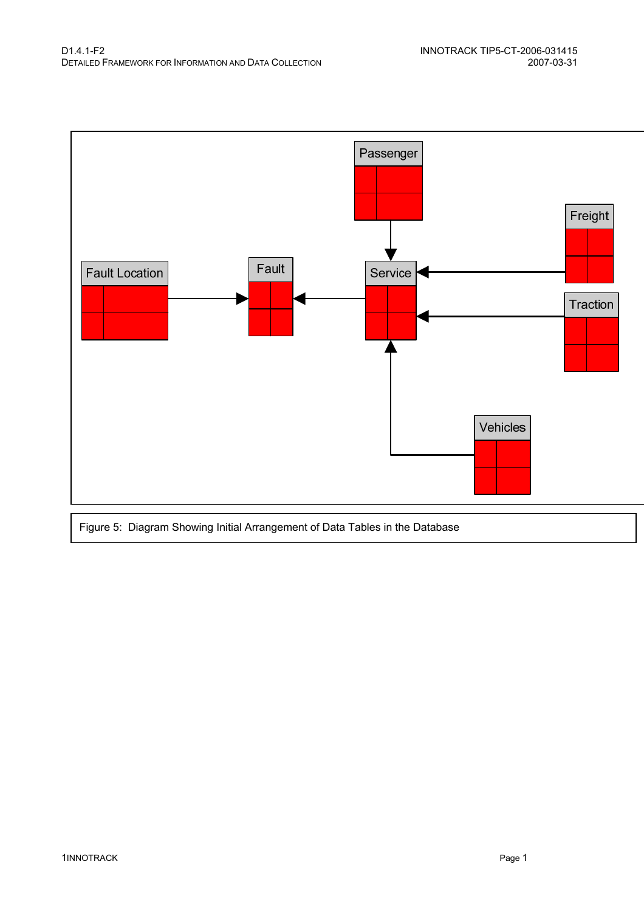

Figure 5: Diagram Showing Initial Arrangement of Data Tables in the Database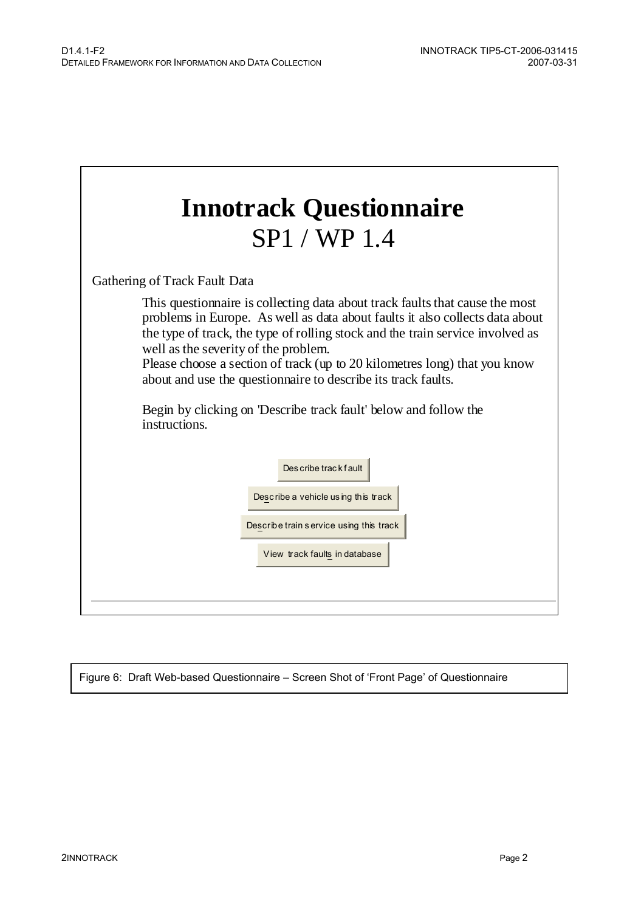| <b>Innotrack Questionnaire</b>                                                                                                                                                                                                                                                                                                                                                                                                                                                                                                                                                     |  |  |  |  |  |
|------------------------------------------------------------------------------------------------------------------------------------------------------------------------------------------------------------------------------------------------------------------------------------------------------------------------------------------------------------------------------------------------------------------------------------------------------------------------------------------------------------------------------------------------------------------------------------|--|--|--|--|--|
| SP1 / WP 1.4                                                                                                                                                                                                                                                                                                                                                                                                                                                                                                                                                                       |  |  |  |  |  |
| Gathering of Track Fault Data<br>This question aire is collecting data about track faults that cause the most<br>problems in Europe. As well as data about faults it also collects data about<br>the type of track, the type of rolling stock and the train service involved as<br>well as the severity of the problem.<br>Please choose a section of track (up to 20 kilometres long) that you know<br>about and use the questionnaire to describe its track faults.<br>Begin by clicking on 'Describe track fault' below and follow the<br>instructions.<br>Des cribe trackfault |  |  |  |  |  |
| Describe a vehicle using this track<br>Describe train service using this track<br>View track faults in database                                                                                                                                                                                                                                                                                                                                                                                                                                                                    |  |  |  |  |  |

Figure 6: Draft Web-based Questionnaire – Screen Shot of 'Front Page' of Questionnaire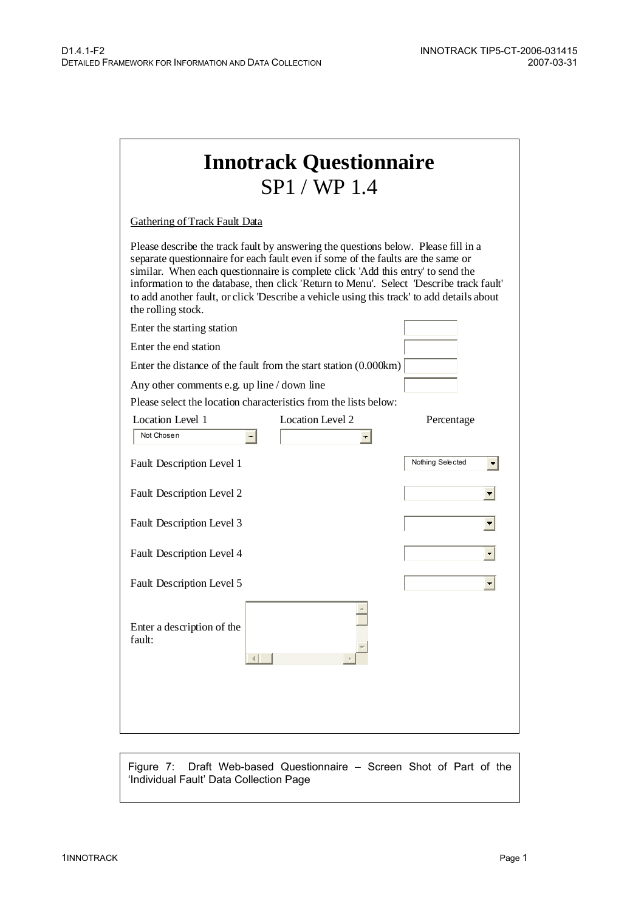| <b>Innotrack Questionnaire</b><br>SP1 / WP1.4                                                                                                                                                                                                                                                                                                                                                                                                                          |                  |  |  |  |  |
|------------------------------------------------------------------------------------------------------------------------------------------------------------------------------------------------------------------------------------------------------------------------------------------------------------------------------------------------------------------------------------------------------------------------------------------------------------------------|------------------|--|--|--|--|
| <b>Gathering of Track Fault Data</b>                                                                                                                                                                                                                                                                                                                                                                                                                                   |                  |  |  |  |  |
| Please describe the track fault by answering the questions below. Please fill in a<br>separate questionnaire for each fault even if some of the faults are the same or<br>similar. When each questionnaire is complete click 'Add this entry' to send the<br>information to the database, then click 'Return to Menu'. Select 'Describe track fault'<br>to add another fault, or click Describe a vehicle using this track' to add details about<br>the rolling stock. |                  |  |  |  |  |
| Enter the starting station                                                                                                                                                                                                                                                                                                                                                                                                                                             |                  |  |  |  |  |
| Enter the end station                                                                                                                                                                                                                                                                                                                                                                                                                                                  |                  |  |  |  |  |
| Enter the distance of the fault from the start station $(0.000km)$                                                                                                                                                                                                                                                                                                                                                                                                     |                  |  |  |  |  |
| Any other comments e.g. up line / down line                                                                                                                                                                                                                                                                                                                                                                                                                            |                  |  |  |  |  |
| Please select the location characteristics from the lists below:                                                                                                                                                                                                                                                                                                                                                                                                       |                  |  |  |  |  |
| Location Level 1<br>Location Level 2                                                                                                                                                                                                                                                                                                                                                                                                                                   | Percentage       |  |  |  |  |
| Not Chosen<br>$\left  \cdot \right $                                                                                                                                                                                                                                                                                                                                                                                                                                   |                  |  |  |  |  |
| Fault Description Level 1                                                                                                                                                                                                                                                                                                                                                                                                                                              | Nothing Selected |  |  |  |  |
| Fault Description Level 2                                                                                                                                                                                                                                                                                                                                                                                                                                              |                  |  |  |  |  |
| Fault Description Level 3                                                                                                                                                                                                                                                                                                                                                                                                                                              |                  |  |  |  |  |
| Fault Description Level 4                                                                                                                                                                                                                                                                                                                                                                                                                                              |                  |  |  |  |  |
| Fault Description Level 5                                                                                                                                                                                                                                                                                                                                                                                                                                              |                  |  |  |  |  |
| Enter a description of the<br>fault:                                                                                                                                                                                                                                                                                                                                                                                                                                   |                  |  |  |  |  |
|                                                                                                                                                                                                                                                                                                                                                                                                                                                                        |                  |  |  |  |  |

Figure 7: Draft Web-based Questionnaire – Screen Shot of Part of the 'Individual Fault' Data Collection Page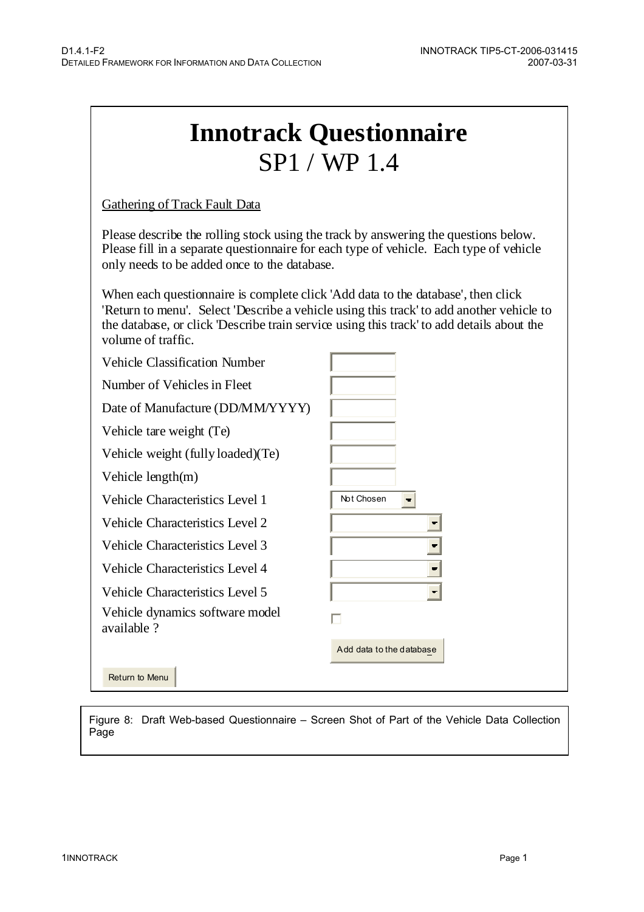| <b>Innotrack Questionnaire</b> |
|--------------------------------|
| SP1 / WP1.4                    |

Gathering of Track Fault Data

Please describe the rolling stock using the track by answering the questions below. Please fill in a separate questionnaire for each type of vehicle. Each type of vehicle only needs to be added once to the database.

When each questionnaire is complete click 'Add data to the database', then click 'Return to menu'. Select 'Describe a vehicle using this track' to add another vehicle to the database, or click 'Describe train service using this track' to add details about the volume of traffic.

| <b>Vehicle Classification Number</b>          |                              |
|-----------------------------------------------|------------------------------|
| Number of Vehicles in Fleet                   |                              |
| Date of Manufacture (DD/MM/YYYY)              |                              |
| Vehicle tare weight (Te)                      |                              |
| Vehicle weight (fully loaded)(Te)             |                              |
| Vehicle $length(m)$                           |                              |
| Vehicle Characteristics Level 1               | Not Chosen<br>$\blacksquare$ |
| Vehicle Characteristics Level 2               |                              |
| <b>Vehicle Characteristics Level 3</b>        |                              |
| Vehicle Characteristics Level 4               |                              |
| Vehicle Characteristics Level 5               |                              |
| Vehicle dynamics software model<br>available? | П                            |
|                                               | Add data to the database     |
| Return to Menu                                |                              |

Figure 8: Draft Web-based Questionnaire – Screen Shot of Part of the Vehicle Data Collection Page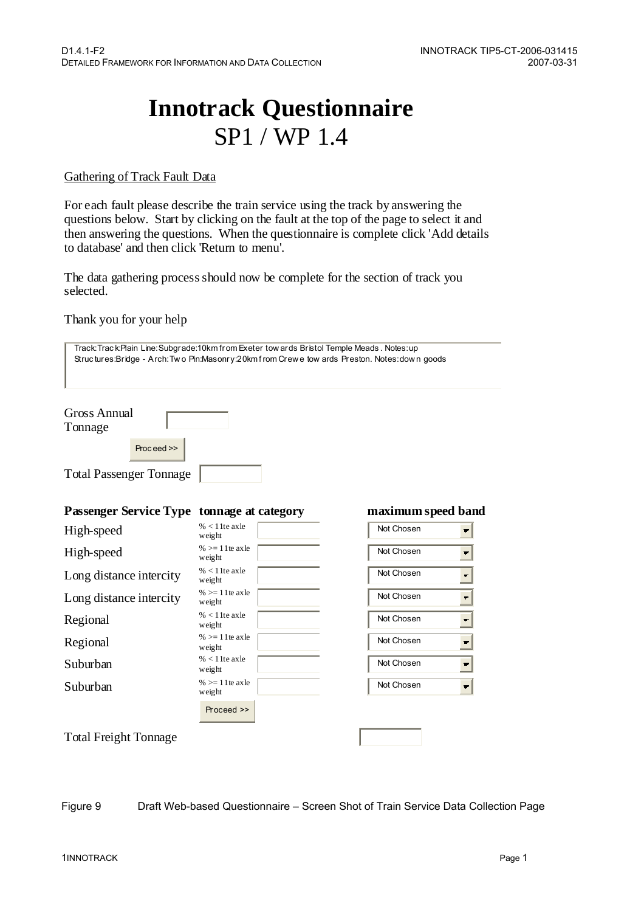# **Innotrack Questionnaire**  SP1 / WP 1.4

#### Gathering of Track Fault Data

For each fault please describe the train service using the track by answering the questions below. Start by clicking on the fault at the top of the page to select it and then answering the questions. When the questionnaire is complete click 'Add details to database' and then click 'Return to menu'.

The data gathering process should now be complete for the section of track you selected.

#### Thank you for your help

| Track: Track:Plain Line: Subgrade:10km from Exeter tow ards Bristol Temple Meads. Notes: up<br>Structures:Bridge - Arch:Two Pin:Masonry:20km from Crewe tow ards Preston. Notes:down goods |                                     |                                        |  |  |
|--------------------------------------------------------------------------------------------------------------------------------------------------------------------------------------------|-------------------------------------|----------------------------------------|--|--|
| <b>Gross Annual</b><br>Tonnage<br>Proceed >><br><b>Total Passenger Tonnage</b>                                                                                                             |                                     |                                        |  |  |
|                                                                                                                                                                                            |                                     |                                        |  |  |
| <b>Passenger Service Type tonnage at category</b>                                                                                                                                          |                                     | maximum speed band                     |  |  |
| High-speed                                                                                                                                                                                 | $% < 1$ 1 te ax le<br>weight        | Not Chosen<br>$\overline{\phantom{a}}$ |  |  |
| High-speed                                                                                                                                                                                 | $%>=11$ te ax $\text{le}$<br>weight | Not Chosen<br>$\blacksquare$           |  |  |
| Long distance intercity                                                                                                                                                                    | $% < 1$ 1 te ax le<br>weight        | Not Chosen<br>$\blacksquare$           |  |  |
| Long distance intercity                                                                                                                                                                    | $%>=11$ te ax $\text{le}$<br>weight | Not Chosen<br>$\blacksquare$           |  |  |
| Regional                                                                                                                                                                                   | $% < 1$ 1 te ax le<br>weight        | Not Chosen<br>회                        |  |  |
| Regional                                                                                                                                                                                   | $%>=11$ te axle<br>weight           | Not Chosen<br>ᆌ                        |  |  |
| Suburban                                                                                                                                                                                   | $% < 1$ 1 te ax le<br>weight        | Not Chosen<br>$\left  \cdot \right $   |  |  |
| Suburban                                                                                                                                                                                   | $%>=11$ te axle<br>weight           | Not Chosen<br>$\blacksquare$           |  |  |
|                                                                                                                                                                                            | Proceed >>                          |                                        |  |  |
| <b>Total Freight Tonnage</b>                                                                                                                                                               |                                     |                                        |  |  |

Figure 9 Draft Web-based Questionnaire – Screen Shot of Train Service Data Collection Page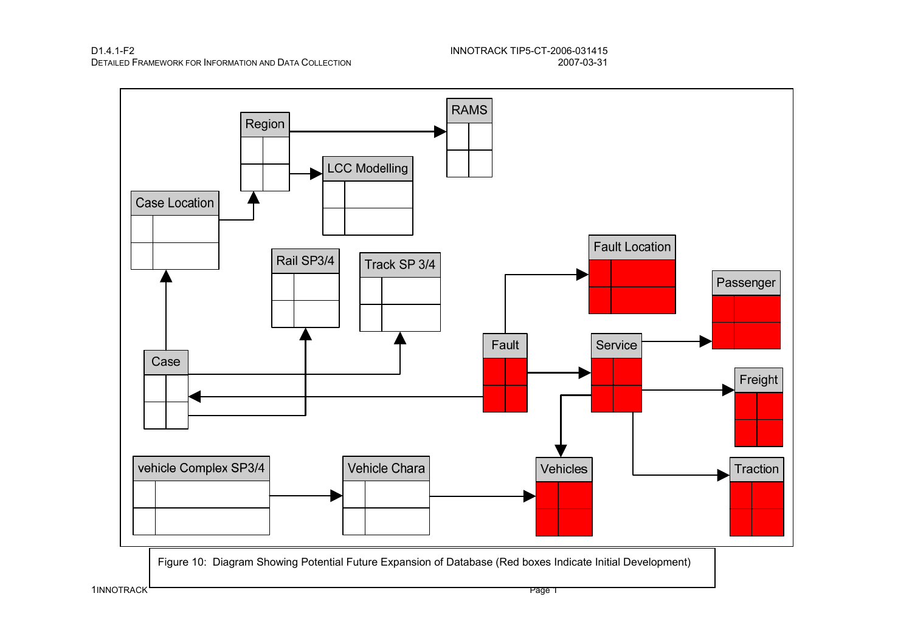